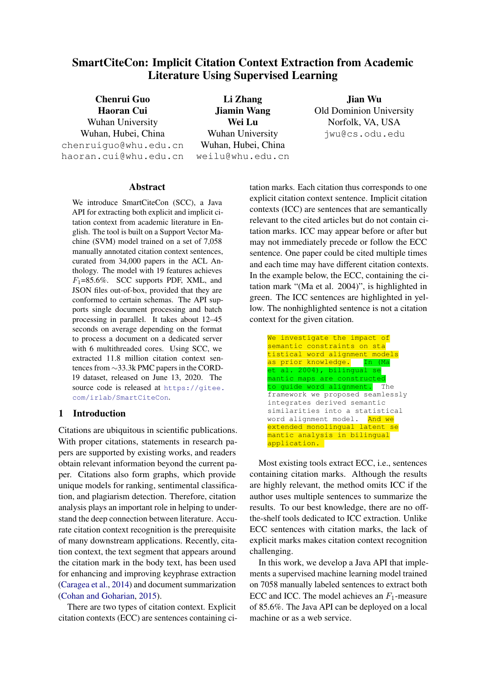# SmartCiteCon: Implicit Citation Context Extraction from Academic Literature Using Supervised Learning

Chenrui Guo Haoran Cui Wuhan University Wuhan, Hubei, China chenruiguo@whu.edu.cn haoran.cui@whu.edu.cn

Li Zhang Jiamin Wang Wei Lu Wuhan University Wuhan, Hubei, China weilu@whu.edu.cn

Jian Wu Old Dominion University Norfolk, VA, USA jwu@cs.odu.edu

### Abstract

We introduce SmartCiteCon (SCC), a Java API for extracting both explicit and implicit citation context from academic literature in English. The tool is built on a Support Vector Machine (SVM) model trained on a set of 7,058 manually annotated citation context sentences, curated from 34,000 papers in the ACL Anthology. The model with 19 features achieves  $F_1$ =85.6%. SCC supports PDF, XML, and JSON files out-of-box, provided that they are conformed to certain schemas. The API supports single document processing and batch processing in parallel. It takes about 12–45 seconds on average depending on the format to process a document on a dedicated server with 6 multithreaded cores. Using SCC, we extracted 11.8 million citation context sentences from ∼33.3k PMC papers in the CORD-19 dataset, released on June 13, 2020. The source code is released at [https://gitee.](https://gitee.com/irlab/SmartCiteCon) [com/irlab/SmartCiteCon](https://gitee.com/irlab/SmartCiteCon).

### 1 Introduction

Citations are ubiquitous in scientific publications. With proper citations, statements in research papers are supported by existing works, and readers obtain relevant information beyond the current paper. Citations also form graphs, which provide unique models for ranking, sentimental classification, and plagiarism detection. Therefore, citation analysis plays an important role in helping to understand the deep connection between literature. Accurate citation context recognition is the prerequisite of many downstream applications. Recently, citation context, the text segment that appears around the citation mark in the body text, has been used for enhancing and improving keyphrase extraction [\(Caragea et al.,](#page-5-0) [2014\)](#page-5-0) and document summarization [\(Cohan and Goharian,](#page-5-1) [2015\)](#page-5-1).

There are two types of citation context. Explicit citation contexts (ECC) are sentences containing citation marks. Each citation thus corresponds to one explicit citation context sentence. Implicit citation contexts (ICC) are sentences that are semantically relevant to the cited articles but do not contain citation marks. ICC may appear before or after but may not immediately precede or follow the ECC sentence. One paper could be cited multiple times and each time may have different citation contexts. In the example below, the ECC, containing the citation mark "(Ma et al. 2004)", is highlighted in green. The ICC sentences are highlighted in yellow. The nonhighlighted sentence is not a citation context for the given citation.



Most existing tools extract ECC, i.e., sentences containing citation marks. Although the results are highly relevant, the method omits ICC if the author uses multiple sentences to summarize the results. To our best knowledge, there are no offthe-shelf tools dedicated to ICC extraction. Unlike ECC sentences with citation marks, the lack of explicit marks makes citation context recognition challenging.

In this work, we develop a Java API that implements a supervised machine learning model trained on 7058 manually labeled sentences to extract both ECC and ICC. The model achieves an  $F_1$ -measure of 85.6%. The Java API can be deployed on a local machine or as a web service.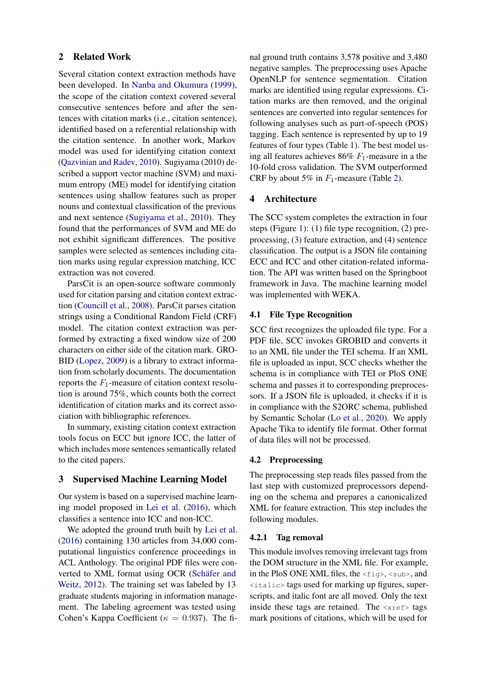### 2 Related Work

Several citation context extraction methods have been developed. In [Nanba and Okumura](#page-5-2) [\(1999\)](#page-5-2), the scope of the citation context covered several consecutive sentences before and after the sentences with citation marks (i.e., citation sentence), identified based on a referential relationship with the citation sentence. In another work, Markov model was used for identifying citation context [\(Qazvinian and Radev,](#page-5-3) [2010\)](#page-5-3). Sugiyama (2010) described a support vector machine (SVM) and maximum entropy (ME) model for identifying citation sentences using shallow features such as proper nouns and contextual classification of the previous and next sentence [\(Sugiyama et al.,](#page-5-4) [2010\)](#page-5-4). They found that the performances of SVM and ME do not exhibit significant differences. The positive samples were selected as sentences including citation marks using regular expression matching, ICC extraction was not covered.

ParsCit is an open-source software commonly used for citation parsing and citation context extraction [\(Councill et al.,](#page-5-5) [2008\)](#page-5-5). ParsCit parses citation strings using a Conditional Random Field (CRF) model. The citation context extraction was performed by extracting a fixed window size of 200 characters on either side of the citation mark. GRO-BID [\(Lopez,](#page-5-6) [2009\)](#page-5-6) is a library to extract information from scholarly documents. The documentation reports the  $F_1$ -measure of citation context resolution is around 75%, which counts both the correct identification of citation marks and its correct association with bibliographic references.

In summary, existing citation context extraction tools focus on ECC but ignore ICC, the latter of which includes more sentences semantically related to the cited papers.

#### 3 Supervised Machine Learning Model

Our system is based on a supervised machine learning model proposed in [Lei et al.](#page-5-7) [\(2016\)](#page-5-7), which classifies a sentence into ICC and non-ICC.

We adopted the ground truth built by [Lei et al.](#page-5-7) [\(2016\)](#page-5-7) containing 130 articles from 34,000 computational linguistics conference proceedings in ACL Anthology. The original PDF files were converted to XML format using OCR (Schäfer and [Weitz,](#page-5-8) [2012\)](#page-5-8). The training set was labeled by 13 graduate students majoring in information management. The labeling agreement was tested using Cohen's Kappa Coefficient ( $\kappa = 0.937$ ). The fi-

nal ground truth contains 3,578 positive and 3,480 negative samples. The preprocessing uses Apache OpenNLP for sentence segmentation. Citation marks are identified using regular expressions. Citation marks are then removed, and the original sentences are converted into regular sentences for following analyses such as part-of-speech (POS) tagging. Each sentence is represented by up to 19 features of four types (Table 1). The best model using all features achieves  $86\%$  F<sub>1</sub>-measure in a the 10-fold cross validation. The SVM outperformed CRF by about 5% in  $F_1$ -measure (Table [2\)](#page-2-0).

### 4 Architecture

The SCC system completes the extraction in four steps (Figure [1\)](#page-3-0): (1) file type recognition, (2) preprocessing, (3) feature extraction, and (4) sentence classification. The output is a JSON file containing ECC and ICC and other citation-related information. The API was written based on the Springboot framework in Java. The machine learning model was implemented with WEKA.

#### 4.1 File Type Recognition

SCC first recognizes the uploaded file type. For a PDF file, SCC invokes GROBID and converts it to an XML file under the TEI schema. If an XML file is uploaded as input, SCC checks whether the schema is in compliance with TEI or PloS ONE schema and passes it to corresponding preprocessors. If a JSON file is uploaded, it checks if it is in compliance with the S2ORC schema, published by Semantic Scholar [\(Lo et al.,](#page-5-9) [2020\)](#page-5-9). We apply Apache Tika to identify file format. Other format of data files will not be processed.

#### 4.2 Preprocessing

The preprocessing step reads files passed from the last step with customized preprocessors depending on the schema and prepares a canonicalized XML for feature extraction. This step includes the following modules.

#### 4.2.1 Tag removal

This module involves removing irrelevant tags from the DOM structure in the XML file. For example, in the PloS ONE XML files, the  $\langle$ fig>,  $\langle$ sub>, and <italic> tags used for marking up figures, superscripts, and italic font are all moved. Only the text inside these tags are retained. The  $\langle x \rangle$  tags mark positions of citations, which will be used for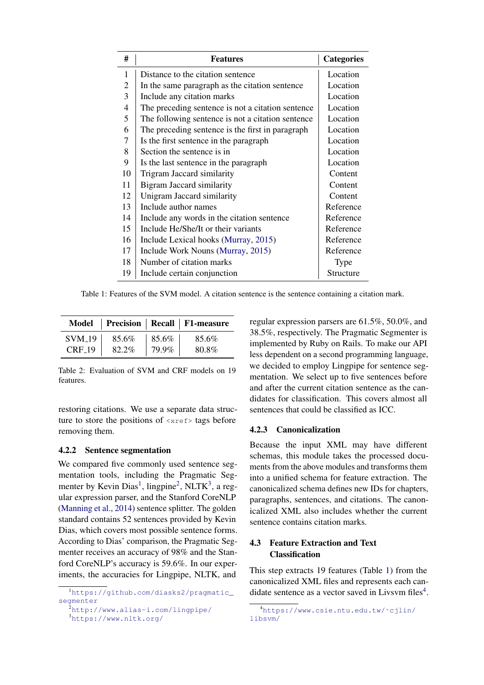<span id="page-2-4"></span>

| #              | <b>Features</b>                                   | <b>Categories</b> |
|----------------|---------------------------------------------------|-------------------|
| 1              | Distance to the citation sentence                 | Location          |
| 2              | In the same paragraph as the citation sentence    | Location          |
| 3              | Include any citation marks                        | Location          |
| $\overline{4}$ | The preceding sentence is not a citation sentence | Location          |
| 5              | The following sentence is not a citation sentence | Location          |
| 6              | The preceding sentence is the first in paragraph  | Location          |
| 7              | Is the first sentence in the paragraph            | Location          |
| 8              | Section the sentence is in                        | Location          |
| 9              | Is the last sentence in the paragraph             | Location          |
| 10             | Trigram Jaccard similarity                        | Content           |
| 11             | <b>Bigram Jaccard similarity</b>                  | Content           |
| 12             | Unigram Jaccard similarity                        | Content           |
| 13             | Include author names                              | Reference         |
| 14             | Include any words in the citation sentence        | Reference         |
| 15             | Include He/She/It or their variants               | Reference         |
| 16             | Include Lexical hooks (Murray, 2015)              | Reference         |
| 17             | Include Work Nouns (Murray, 2015)                 | Reference         |
| 18             | Number of citation marks                          | <b>Type</b>       |
| 19             | Include certain conjunction                       | Structure         |

Table 1: Features of the SVM model. A citation sentence is the sentence containing a citation mark.

<span id="page-2-0"></span>

|               |       |       | Model   Precision   Recall   F1-measure |
|---------------|-------|-------|-----------------------------------------|
| <b>SVM_19</b> | 85.6% | 85.6% | 85.6%                                   |
| $CRF_19$      | 82.2% | 79.9% | 80.8%                                   |

Table 2: Evaluation of SVM and CRF models on 19 features.

restoring citations. We use a separate data structure to store the positions of  $\langle x \rangle$  tags before removing them.

### 4.2.2 Sentence segmentation

We compared five commonly used sentence segmentation tools, including the Pragmatic Seg-menter by Kevin Dias<sup>[1](#page-2-1)</sup>, lingpine<sup>[2](#page-2-2)</sup>, NLTK<sup>[3](#page-2-3)</sup>, a regular expression parser, and the Stanford CoreNLP [\(Manning et al.,](#page-5-11) [2014\)](#page-5-11) sentence splitter. The golden standard contains 52 sentences provided by Kevin Dias, which covers most possible sentence forms. According to Dias' comparison, the Pragmatic Segmenter receives an accuracy of 98% and the Stanford CoreNLP's accuracy is 59.6%. In our experiments, the accuracies for Lingpipe, NLTK, and

regular expression parsers are 61.5%, 50.0%, and 38.5%, respectively. The Pragmatic Segmenter is implemented by Ruby on Rails. To make our API less dependent on a second programming language, we decided to employ Lingpipe for sentence segmentation. We select up to five sentences before and after the current citation sentence as the candidates for classification. This covers almost all sentences that could be classified as ICC.

### 4.2.3 Canonicalization

Because the input XML may have different schemas, this module takes the processed documents from the above modules and transforms them into a unified schema for feature extraction. The canonicalized schema defines new IDs for chapters, paragraphs, sentences, and citations. The canonicalized XML also includes whether the current sentence contains citation marks.

### 4.3 Feature Extraction and Text **Classification**

This step extracts 19 features (Table [1\)](#page-2-4) from the canonicalized XML files and represents each candidate sentence as a vector saved in Livsvm files $4$ .

<span id="page-2-1"></span><sup>1</sup>[https://github.com/diasks2/pragmatic\\_](https://github.com/diasks2/pragmatic_segmenter) [segmenter](https://github.com/diasks2/pragmatic_segmenter)

<span id="page-2-2"></span> $2$ <http://www.alias-i.com/lingpipe/>

<span id="page-2-3"></span><sup>3</sup><https://www.nltk.org/>

<span id="page-2-5"></span><sup>4</sup>[https://www.csie.ntu.edu.tw/˜cjlin/](https://www.csie.ntu.edu.tw/~cjlin/libsvm/) [libsvm/](https://www.csie.ntu.edu.tw/~cjlin/libsvm/)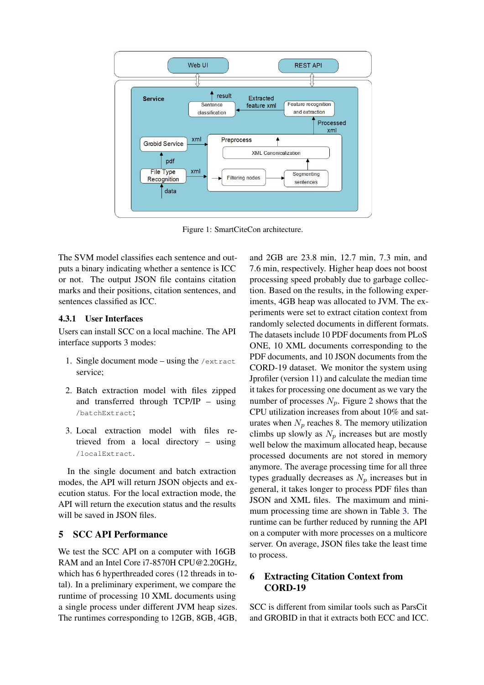<span id="page-3-0"></span>

Figure 1: SmartCiteCon architecture.

The SVM model classifies each sentence and outputs a binary indicating whether a sentence is ICC or not. The output JSON file contains citation marks and their positions, citation sentences, and sentences classified as ICC.

### 4.3.1 User Interfaces

Users can install SCC on a local machine. The API interface supports 3 modes:

- 1. Single document mode using the /extract service;
- 2. Batch extraction model with files zipped and transferred through TCP/IP – using /batchExtract;
- 3. Local extraction model with files retrieved from a local directory – using /localExtract.

In the single document and batch extraction modes, the API will return JSON objects and execution status. For the local extraction mode, the API will return the execution status and the results will be saved in JSON files.

### 5 SCC API Performance

We test the SCC API on a computer with 16GB RAM and an Intel Core i7-8570H CPU@2.20GHz, which has 6 hyperthreaded cores (12 threads in total). In a preliminary experiment, we compare the runtime of processing 10 XML documents using a single process under different JVM heap sizes. The runtimes corresponding to 12GB, 8GB, 4GB,

and 2GB are 23.8 min, 12.7 min, 7.3 min, and 7.6 min, respectively. Higher heap does not boost processing speed probably due to garbage collection. Based on the results, in the following experiments, 4GB heap was allocated to JVM. The experiments were set to extract citation context from randomly selected documents in different formats. The datasets include 10 PDF documents from PLoS ONE, 10 XML documents corresponding to the PDF documents, and 10 JSON documents from the CORD-19 dataset. We monitor the system using Jprofiler (version 11) and calculate the median time it takes for processing one document as we vary the number of processes  $N_p$ . Figure [2](#page-4-0) shows that the CPU utilization increases from about 10% and saturates when  $N_p$  reaches 8. The memory utilization climbs up slowly as  $N_p$  increases but are mostly well below the maximum allocated heap, because processed documents are not stored in memory anymore. The average processing time for all three types gradually decreases as  $N_p$  increases but in general, it takes longer to process PDF files than JSON and XML files. The maximum and minimum processing time are shown in Table [3.](#page-4-1) The runtime can be further reduced by running the API on a computer with more processes on a multicore server. On average, JSON files take the least time to process.

## 6 Extracting Citation Context from CORD-19

SCC is different from similar tools such as ParsCit and GROBID in that it extracts both ECC and ICC.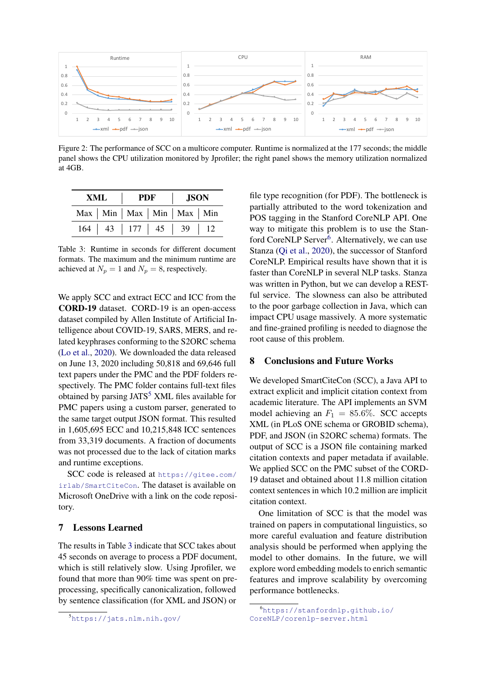<span id="page-4-0"></span>

Figure 2: The performance of SCC on a multicore computer. Runtime is normalized at the 177 seconds; the middle panel shows the CPU utilization monitored by Jprofiler; the right panel shows the memory utilization normalized at 4GB.

<span id="page-4-1"></span>

| XML | <b>PDF</b> |  | <b>JSON</b>                                        |  |
|-----|------------|--|----------------------------------------------------|--|
|     |            |  | $Max \mid Min \mid Max \mid Min \mid Max \mid Min$ |  |
|     |            |  | $164$   43   177   45   39   12                    |  |

Table 3: Runtime in seconds for different document formats. The maximum and the minimum runtime are achieved at  $N_p = 1$  and  $N_p = 8$ , respectively.

We apply SCC and extract ECC and ICC from the CORD-19 dataset. CORD-19 is an open-access dataset compiled by Allen Institute of Artificial Intelligence about COVID-19, SARS, MERS, and related keyphrases conforming to the S2ORC schema [\(Lo et al.,](#page-5-9) [2020\)](#page-5-9). We downloaded the data released on June 13, 2020 including 50,818 and 69,646 full text papers under the PMC and the PDF folders respectively. The PMC folder contains full-text files obtained by parsing  $JATS<sup>5</sup> XML files available for$  $JATS<sup>5</sup> XML files available for$  $JATS<sup>5</sup> XML files available for$ PMC papers using a custom parser, generated to the same target output JSON format. This resulted in 1,605,695 ECC and 10,215,848 ICC sentences from 33,319 documents. A fraction of documents was not processed due to the lack of citation marks and runtime exceptions.

SCC code is released at [https://gitee.com/](https://gitee.com/irlab/SmartCiteCon) [irlab/SmartCiteCon](https://gitee.com/irlab/SmartCiteCon). The dataset is available on Microsoft OneDrive with a link on the code repository.

### 7 Lessons Learned

The results in Table [3](#page-4-1) indicate that SCC takes about 45 seconds on average to process a PDF document, which is still relatively slow. Using Jprofiler, we found that more than 90% time was spent on preprocessing, specifically canonicalization, followed by sentence classification (for XML and JSON) or

file type recognition (for PDF). The bottleneck is partially attributed to the word tokenization and POS tagging in the Stanford CoreNLP API. One way to mitigate this problem is to use the Stan-ford CoreNLP Server<sup>[6](#page-4-3)</sup>. Alternatively, we can use Stanza [\(Qi et al.,](#page-5-12) [2020\)](#page-5-12), the successor of Stanford CoreNLP. Empirical results have shown that it is faster than CoreNLP in several NLP tasks. Stanza was written in Python, but we can develop a RESTful service. The slowness can also be attributed to the poor garbage collection in Java, which can impact CPU usage massively. A more systematic and fine-grained profiling is needed to diagnose the root cause of this problem.

### 8 Conclusions and Future Works

We developed SmartCiteCon (SCC), a Java API to extract explicit and implicit citation context from academic literature. The API implements an SVM model achieving an  $F_1 = 85.6\%$ . SCC accepts XML (in PLoS ONE schema or GROBID schema), PDF, and JSON (in S2ORC schema) formats. The output of SCC is a JSON file containing marked citation contexts and paper metadata if available. We applied SCC on the PMC subset of the CORD-19 dataset and obtained about 11.8 million citation context sentences in which 10.2 million are implicit citation context.

One limitation of SCC is that the model was trained on papers in computational linguistics, so more careful evaluation and feature distribution analysis should be performed when applying the model to other domains. In the future, we will explore word embedding models to enrich semantic features and improve scalability by overcoming performance bottlenecks.

<span id="page-4-2"></span><sup>5</sup><https://jats.nlm.nih.gov/>

<span id="page-4-3"></span><sup>6</sup>[https://stanfordnlp.github.io/](https://stanfordnlp.github.io/CoreNLP/corenlp-server.html) [CoreNLP/corenlp-server.html](https://stanfordnlp.github.io/CoreNLP/corenlp-server.html)